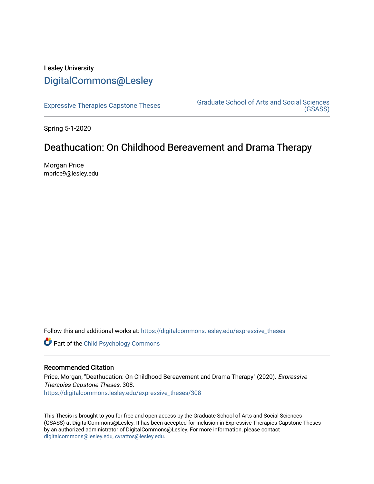# Lesley University [DigitalCommons@Lesley](https://digitalcommons.lesley.edu/)

[Expressive Therapies Capstone Theses](https://digitalcommons.lesley.edu/expressive_theses) Graduate School of Arts and Social Sciences [\(GSASS\)](https://digitalcommons.lesley.edu/gsass) 

Spring 5-1-2020

## Deathucation: On Childhood Bereavement and Drama Therapy

Morgan Price mprice9@lesley.edu

Follow this and additional works at: [https://digitalcommons.lesley.edu/expressive\\_theses](https://digitalcommons.lesley.edu/expressive_theses?utm_source=digitalcommons.lesley.edu%2Fexpressive_theses%2F308&utm_medium=PDF&utm_campaign=PDFCoverPages)

**Part of the Child Psychology Commons** 

## Recommended Citation

Price, Morgan, "Deathucation: On Childhood Bereavement and Drama Therapy" (2020). Expressive Therapies Capstone Theses. 308. [https://digitalcommons.lesley.edu/expressive\\_theses/308](https://digitalcommons.lesley.edu/expressive_theses/308?utm_source=digitalcommons.lesley.edu%2Fexpressive_theses%2F308&utm_medium=PDF&utm_campaign=PDFCoverPages)

This Thesis is brought to you for free and open access by the Graduate School of Arts and Social Sciences (GSASS) at DigitalCommons@Lesley. It has been accepted for inclusion in Expressive Therapies Capstone Theses by an authorized administrator of DigitalCommons@Lesley. For more information, please contact [digitalcommons@lesley.edu, cvrattos@lesley.edu](mailto:digitalcommons@lesley.edu,%20cvrattos@lesley.edu).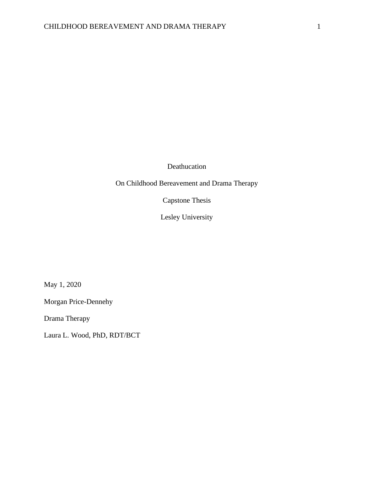Deathucation

On Childhood Bereavement and Drama Therapy

Capstone Thesis

Lesley University

May 1, 2020

Morgan Price-Dennehy

Drama Therapy

Laura L. Wood, PhD, RDT/BCT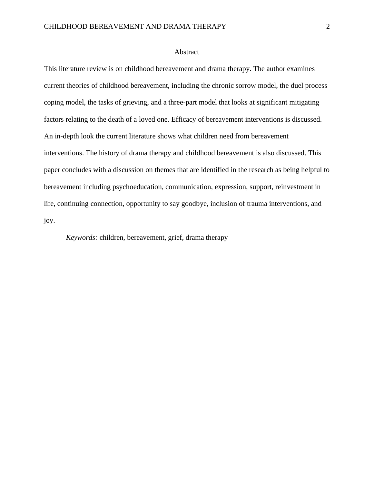#### Abstract

This literature review is on childhood bereavement and drama therapy. The author examines current theories of childhood bereavement, including the chronic sorrow model, the duel process coping model, the tasks of grieving, and a three-part model that looks at significant mitigating factors relating to the death of a loved one. Efficacy of bereavement interventions is discussed. An in-depth look the current literature shows what children need from bereavement interventions. The history of drama therapy and childhood bereavement is also discussed. This paper concludes with a discussion on themes that are identified in the research as being helpful to bereavement including psychoeducation, communication, expression, support, reinvestment in life, continuing connection, opportunity to say goodbye, inclusion of trauma interventions, and joy.

*Keywords:* children, bereavement, grief, drama therapy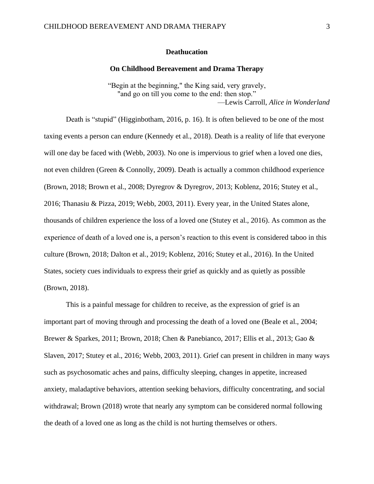#### **Deathucation**

#### **On Childhood Bereavement and Drama Therapy**

"Begin at the beginning," the King said, very gravely, "and go on till you come to the end: then stop." —Lewis Carroll, *Alice in Wonderland*

Death is "stupid" (Higginbotham, 2016, p. 16). It is often believed to be one of the most taxing events a person can endure (Kennedy et al., 2018). Death is a reality of life that everyone will one day be faced with (Webb, 2003). No one is impervious to grief when a loved one dies, not even children (Green & Connolly, 2009). Death is actually a common childhood experience (Brown, 2018; Brown et al., 2008; Dyregrov & Dyregrov, 2013; Koblenz, 2016; Stutey et al., 2016; Thanasiu & Pizza, 2019; Webb, 2003, 2011). Every year, in the United States alone, thousands of children experience the loss of a loved one (Stutey et al., 2016). As common as the experience of death of a loved one is, a person's reaction to this event is considered taboo in this culture (Brown, 2018; Dalton et al., 2019; Koblenz, 2016; Stutey et al., 2016). In the United States, society cues individuals to express their grief as quickly and as quietly as possible (Brown, 2018).

This is a painful message for children to receive, as the expression of grief is an important part of moving through and processing the death of a loved one (Beale et al., 2004; Brewer & Sparkes, 2011; Brown, 2018; Chen & Panebianco, 2017; Ellis et al., 2013; Gao & Slaven, 2017; Stutey et al., 2016; Webb, 2003, 2011). Grief can present in children in many ways such as psychosomatic aches and pains, difficulty sleeping, changes in appetite, increased anxiety, maladaptive behaviors, attention seeking behaviors, difficulty concentrating, and social withdrawal; Brown (2018) wrote that nearly any symptom can be considered normal following the death of a loved one as long as the child is not hurting themselves or others.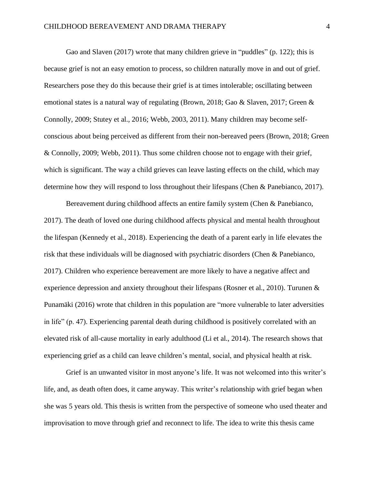Gao and Slaven (2017) wrote that many children grieve in "puddles" (p. 122); this is because grief is not an easy emotion to process, so children naturally move in and out of grief. Researchers pose they do this because their grief is at times intolerable; oscillating between emotional states is a natural way of regulating (Brown, 2018; Gao & Slaven, 2017; Green & Connolly, 2009; Stutey et al., 2016; Webb, 2003, 2011). Many children may become selfconscious about being perceived as different from their non-bereaved peers (Brown, 2018; Green & Connolly, 2009; Webb, 2011). Thus some children choose not to engage with their grief, which is significant. The way a child grieves can leave lasting effects on the child, which may determine how they will respond to loss throughout their lifespans (Chen & Panebianco, 2017).

Bereavement during childhood affects an entire family system (Chen & Panebianco, 2017). The death of loved one during childhood affects physical and mental health throughout the lifespan (Kennedy et al., 2018). Experiencing the death of a parent early in life elevates the risk that these individuals will be diagnosed with psychiatric disorders (Chen & Panebianco, 2017). Children who experience bereavement are more likely to have a negative affect and experience depression and anxiety throughout their lifespans (Rosner et al., 2010). Turunen & Punamäki (2016) wrote that children in this population are "more vulnerable to later adversities in life" (p. 47). Experiencing parental death during childhood is positively correlated with an elevated risk of all-cause mortality in early adulthood (Li et al., 2014). The research shows that experiencing grief as a child can leave children's mental, social, and physical health at risk.

Grief is an unwanted visitor in most anyone's life. It was not welcomed into this writer's life, and, as death often does, it came anyway. This writer's relationship with grief began when she was 5 years old. This thesis is written from the perspective of someone who used theater and improvisation to move through grief and reconnect to life. The idea to write this thesis came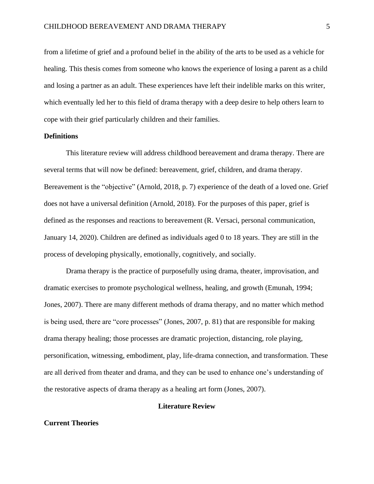from a lifetime of grief and a profound belief in the ability of the arts to be used as a vehicle for healing. This thesis comes from someone who knows the experience of losing a parent as a child and losing a partner as an adult. These experiences have left their indelible marks on this writer, which eventually led her to this field of drama therapy with a deep desire to help others learn to cope with their grief particularly children and their families.

## **Definitions**

This literature review will address childhood bereavement and drama therapy. There are several terms that will now be defined: bereavement, grief, children, and drama therapy. Bereavement is the "objective" (Arnold, 2018, p. 7) experience of the death of a loved one. Grief does not have a universal definition (Arnold, 2018). For the purposes of this paper, grief is defined as the responses and reactions to bereavement (R. Versaci, personal communication, January 14, 2020). Children are defined as individuals aged 0 to 18 years. They are still in the process of developing physically, emotionally, cognitively, and socially.

Drama therapy is the practice of purposefully using drama, theater, improvisation, and dramatic exercises to promote psychological wellness, healing, and growth (Emunah, 1994; Jones, 2007). There are many different methods of drama therapy, and no matter which method is being used, there are "core processes" (Jones, 2007, p. 81) that are responsible for making drama therapy healing; those processes are dramatic projection, distancing, role playing, personification, witnessing, embodiment, play, life-drama connection, and transformation. These are all derived from theater and drama, and they can be used to enhance one's understanding of the restorative aspects of drama therapy as a healing art form (Jones, 2007).

## **Literature Review**

## **Current Theories**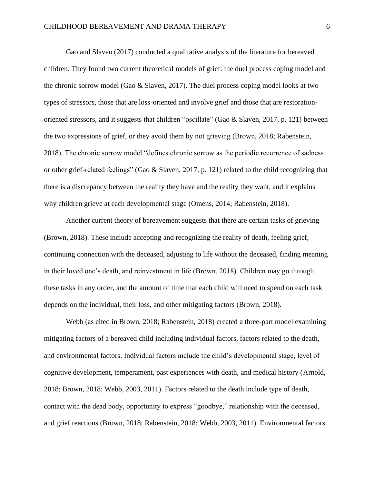Gao and Slaven (2017) conducted a qualitative analysis of the literature for bereaved children. They found two current theoretical models of grief: the duel process coping model and the chronic sorrow model (Gao & Slaven, 2017). The duel process coping model looks at two types of stressors, those that are loss-oriented and involve grief and those that are restorationoriented stressors, and it suggests that children "oscillate" (Gao & Slaven, 2017, p. 121) between the two expressions of grief, or they avoid them by not grieving (Brown, 2018; Rabenstein, 2018). The chronic sorrow model "defines chronic sorrow as the periodic recurrence of sadness or other grief-related feelings" (Gao & Slaven, 2017, p. 121) related to the child recognizing that there is a discrepancy between the reality they have and the reality they want, and it explains why children grieve at each developmental stage (Omens, 2014; Rabenstein, 2018).

Another current theory of bereavement suggests that there are certain tasks of grieving (Brown, 2018). These include accepting and recognizing the reality of death, feeling grief, continuing connection with the deceased, adjusting to life without the deceased, finding meaning in their loved one's death, and reinvestment in life (Brown, 2018). Children may go through these tasks in any order, and the amount of time that each child will need to spend on each task depends on the individual, their loss, and other mitigating factors (Brown, 2018).

Webb (as cited in Brown, 2018; Rabenstein, 2018) created a three-part model examining mitigating factors of a bereaved child including individual factors, factors related to the death, and environmental factors. Individual factors include the child's developmental stage, level of cognitive development, temperament, past experiences with death, and medical history (Arnold, 2018; Brown, 2018; Webb, 2003, 2011). Factors related to the death include type of death, contact with the dead body, opportunity to express "goodbye," relationship with the deceased, and grief reactions (Brown, 2018; Rabenstein, 2018; Webb, 2003, 2011). Environmental factors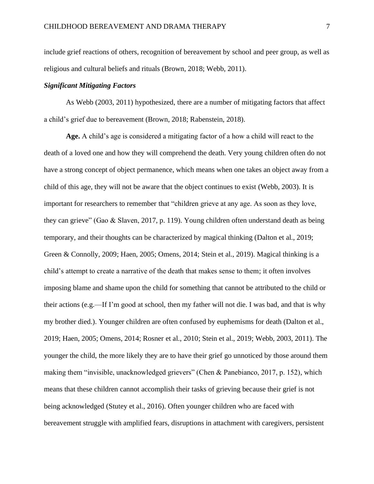include grief reactions of others, recognition of bereavement by school and peer group, as well as religious and cultural beliefs and rituals (Brown, 2018; Webb, 2011).

### *Significant Mitigating Factors*

As Webb (2003, 2011) hypothesized, there are a number of mitigating factors that affect a child's grief due to bereavement (Brown, 2018; Rabenstein, 2018).

**Age.** A child's age is considered a mitigating factor of a how a child will react to the death of a loved one and how they will comprehend the death. Very young children often do not have a strong concept of object permanence, which means when one takes an object away from a child of this age, they will not be aware that the object continues to exist (Webb, 2003). It is important for researchers to remember that "children grieve at any age. As soon as they love, they can grieve" (Gao & Slaven, 2017, p. 119). Young children often understand death as being temporary, and their thoughts can be characterized by magical thinking (Dalton et al., 2019; Green & Connolly, 2009; Haen, 2005; Omens, 2014; Stein et al., 2019). Magical thinking is a child's attempt to create a narrative of the death that makes sense to them; it often involves imposing blame and shame upon the child for something that cannot be attributed to the child or their actions (e.g.—If I'm good at school, then my father will not die. I was bad, and that is why my brother died.). Younger children are often confused by euphemisms for death (Dalton et al., 2019; Haen, 2005; Omens, 2014; Rosner et al., 2010; Stein et al., 2019; Webb, 2003, 2011). The younger the child, the more likely they are to have their grief go unnoticed by those around them making them "invisible, unacknowledged grievers" (Chen & Panebianco, 2017, p. 152), which means that these children cannot accomplish their tasks of grieving because their grief is not being acknowledged (Stutey et al., 2016). Often younger children who are faced with bereavement struggle with amplified fears, disruptions in attachment with caregivers, persistent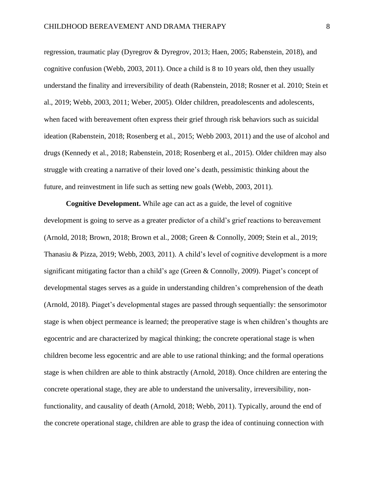regression, traumatic play (Dyregrov & Dyregrov, 2013; Haen, 2005; Rabenstein, 2018), and cognitive confusion (Webb, 2003, 2011). Once a child is 8 to 10 years old, then they usually understand the finality and irreversibility of death (Rabenstein, 2018; Rosner et al. 2010; Stein et al., 2019; Webb, 2003, 2011; Weber, 2005). Older children, preadolescents and adolescents, when faced with bereavement often express their grief through risk behaviors such as suicidal ideation (Rabenstein, 2018; Rosenberg et al., 2015; Webb 2003, 2011) and the use of alcohol and drugs (Kennedy et al., 2018; Rabenstein, 2018; Rosenberg et al., 2015). Older children may also struggle with creating a narrative of their loved one's death, pessimistic thinking about the future, and reinvestment in life such as setting new goals (Webb, 2003, 2011).

**Cognitive Development.** While age can act as a guide, the level of cognitive development is going to serve as a greater predictor of a child's grief reactions to bereavement (Arnold, 2018; Brown, 2018; Brown et al., 2008; Green & Connolly, 2009; Stein et al., 2019; Thanasiu & Pizza, 2019; Webb, 2003, 2011). A child's level of cognitive development is a more significant mitigating factor than a child's age (Green & Connolly, 2009). Piaget's concept of developmental stages serves as a guide in understanding children's comprehension of the death (Arnold, 2018). Piaget's developmental stages are passed through sequentially: the sensorimotor stage is when object permeance is learned; the preoperative stage is when children's thoughts are egocentric and are characterized by magical thinking; the concrete operational stage is when children become less egocentric and are able to use rational thinking; and the formal operations stage is when children are able to think abstractly (Arnold, 2018). Once children are entering the concrete operational stage, they are able to understand the universality, irreversibility, nonfunctionality, and causality of death (Arnold, 2018; Webb, 2011). Typically, around the end of the concrete operational stage, children are able to grasp the idea of continuing connection with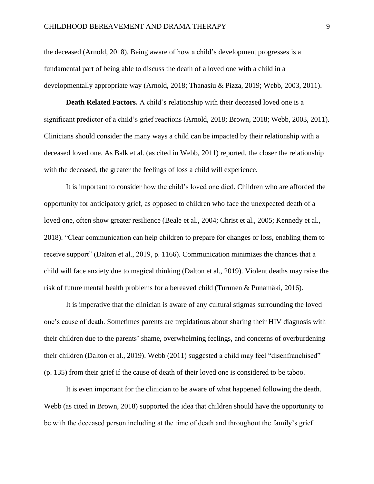the deceased (Arnold, 2018). Being aware of how a child's development progresses is a fundamental part of being able to discuss the death of a loved one with a child in a developmentally appropriate way (Arnold, 2018; Thanasiu & Pizza, 2019; Webb, 2003, 2011).

**Death Related Factors.** A child's relationship with their deceased loved one is a significant predictor of a child's grief reactions (Arnold, 2018; Brown, 2018; Webb, 2003, 2011). Clinicians should consider the many ways a child can be impacted by their relationship with a deceased loved one. As Balk et al. (as cited in Webb, 2011) reported, the closer the relationship with the deceased, the greater the feelings of loss a child will experience.

It is important to consider how the child's loved one died. Children who are afforded the opportunity for anticipatory grief, as opposed to children who face the unexpected death of a loved one, often show greater resilience (Beale et al., 2004; Christ et al., 2005; Kennedy et al., 2018). "Clear communication can help children to prepare for changes or loss, enabling them to receive support" (Dalton et al., 2019, p. 1166). Communication minimizes the chances that a child will face anxiety due to magical thinking (Dalton et al., 2019). Violent deaths may raise the risk of future mental health problems for a bereaved child (Turunen & Punamäki, 2016).

It is imperative that the clinician is aware of any cultural stigmas surrounding the loved one's cause of death. Sometimes parents are trepidatious about sharing their HIV diagnosis with their children due to the parents' shame, overwhelming feelings, and concerns of overburdening their children (Dalton et al., 2019). Webb (2011) suggested a child may feel "disenfranchised" (p. 135) from their grief if the cause of death of their loved one is considered to be taboo.

It is even important for the clinician to be aware of what happened following the death. Webb (as cited in Brown, 2018) supported the idea that children should have the opportunity to be with the deceased person including at the time of death and throughout the family's grief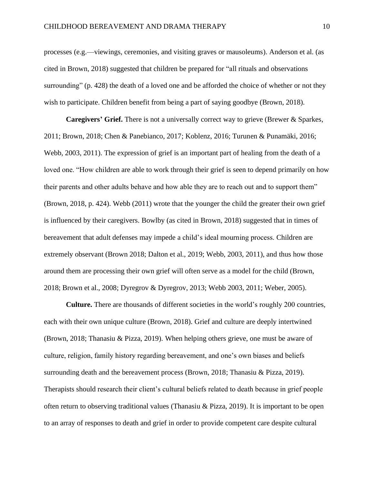processes (e.g.—viewings, ceremonies, and visiting graves or mausoleums). Anderson et al. (as cited in Brown, 2018) suggested that children be prepared for "all rituals and observations surrounding" (p. 428) the death of a loved one and be afforded the choice of whether or not they wish to participate. Children benefit from being a part of saying goodbye (Brown, 2018).

**Caregivers' Grief.** There is not a universally correct way to grieve (Brewer & Sparkes, 2011; Brown, 2018; Chen & Panebianco, 2017; Koblenz, 2016; Turunen & Punamäki, 2016; Webb, 2003, 2011). The expression of grief is an important part of healing from the death of a loved one. "How children are able to work through their grief is seen to depend primarily on how their parents and other adults behave and how able they are to reach out and to support them" (Brown, 2018, p. 424). Webb (2011) wrote that the younger the child the greater their own grief is influenced by their caregivers. Bowlby (as cited in Brown, 2018) suggested that in times of bereavement that adult defenses may impede a child's ideal mourning process. Children are extremely observant (Brown 2018; Dalton et al., 2019; Webb, 2003, 2011), and thus how those around them are processing their own grief will often serve as a model for the child (Brown, 2018; Brown et al., 2008; Dyregrov & Dyregrov, 2013; Webb 2003, 2011; Weber, 2005).

**Culture.** There are thousands of different societies in the world's roughly 200 countries, each with their own unique culture (Brown, 2018). Grief and culture are deeply intertwined (Brown, 2018; Thanasiu & Pizza, 2019). When helping others grieve, one must be aware of culture, religion, family history regarding bereavement, and one's own biases and beliefs surrounding death and the bereavement process (Brown, 2018; Thanasiu & Pizza, 2019). Therapists should research their client's cultural beliefs related to death because in grief people often return to observing traditional values (Thanasiu & Pizza, 2019). It is important to be open to an array of responses to death and grief in order to provide competent care despite cultural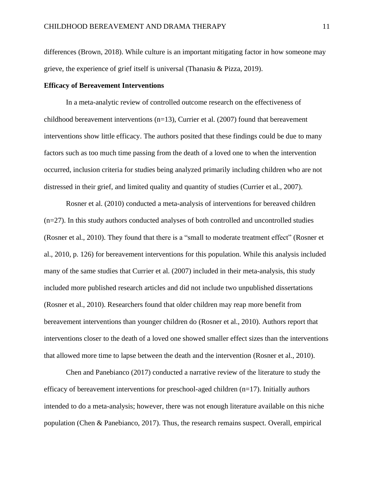differences (Brown, 2018). While culture is an important mitigating factor in how someone may grieve, the experience of grief itself is universal (Thanasiu & Pizza, 2019).

## **Efficacy of Bereavement Interventions**

In a meta-analytic review of controlled outcome research on the effectiveness of childhood bereavement interventions  $(n=13)$ , Currier et al. (2007) found that bereavement interventions show little efficacy. The authors posited that these findings could be due to many factors such as too much time passing from the death of a loved one to when the intervention occurred, inclusion criteria for studies being analyzed primarily including children who are not distressed in their grief, and limited quality and quantity of studies (Currier et al., 2007).

Rosner et al. (2010) conducted a meta-analysis of interventions for bereaved children (n=27). In this study authors conducted analyses of both controlled and uncontrolled studies (Rosner et al., 2010). They found that there is a "small to moderate treatment effect" (Rosner et al., 2010, p. 126) for bereavement interventions for this population. While this analysis included many of the same studies that Currier et al. (2007) included in their meta-analysis, this study included more published research articles and did not include two unpublished dissertations (Rosner et al., 2010). Researchers found that older children may reap more benefit from bereavement interventions than younger children do (Rosner et al., 2010). Authors report that interventions closer to the death of a loved one showed smaller effect sizes than the interventions that allowed more time to lapse between the death and the intervention (Rosner et al., 2010).

Chen and Panebianco (2017) conducted a narrative review of the literature to study the efficacy of bereavement interventions for preschool-aged children  $(n=17)$ . Initially authors intended to do a meta-analysis; however, there was not enough literature available on this niche population (Chen & Panebianco, 2017). Thus, the research remains suspect. Overall, empirical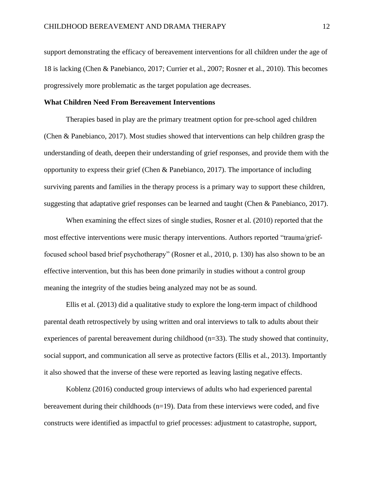support demonstrating the efficacy of bereavement interventions for all children under the age of 18 is lacking (Chen & Panebianco, 2017; Currier et al., 2007; Rosner et al., 2010). This becomes progressively more problematic as the target population age decreases.

## **What Children Need From Bereavement Interventions**

Therapies based in play are the primary treatment option for pre-school aged children (Chen & Panebianco, 2017). Most studies showed that interventions can help children grasp the understanding of death, deepen their understanding of grief responses, and provide them with the opportunity to express their grief (Chen & Panebianco, 2017). The importance of including surviving parents and families in the therapy process is a primary way to support these children, suggesting that adaptative grief responses can be learned and taught (Chen & Panebianco, 2017).

When examining the effect sizes of single studies, Rosner et al. (2010) reported that the most effective interventions were music therapy interventions. Authors reported "trauma/grieffocused school based brief psychotherapy" (Rosner et al., 2010, p. 130) has also shown to be an effective intervention, but this has been done primarily in studies without a control group meaning the integrity of the studies being analyzed may not be as sound.

Ellis et al. (2013) did a qualitative study to explore the long-term impact of childhood parental death retrospectively by using written and oral interviews to talk to adults about their experiences of parental bereavement during childhood  $(n=33)$ . The study showed that continuity, social support, and communication all serve as protective factors (Ellis et al., 2013). Importantly it also showed that the inverse of these were reported as leaving lasting negative effects.

Koblenz (2016) conducted group interviews of adults who had experienced parental bereavement during their childhoods (n=19). Data from these interviews were coded, and five constructs were identified as impactful to grief processes: adjustment to catastrophe, support,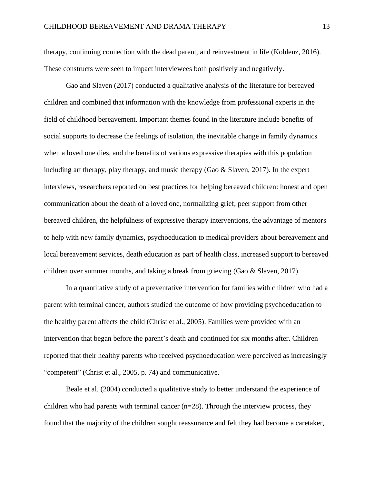therapy, continuing connection with the dead parent, and reinvestment in life (Koblenz, 2016). These constructs were seen to impact interviewees both positively and negatively.

Gao and Slaven (2017) conducted a qualitative analysis of the literature for bereaved children and combined that information with the knowledge from professional experts in the field of childhood bereavement. Important themes found in the literature include benefits of social supports to decrease the feelings of isolation, the inevitable change in family dynamics when a loved one dies, and the benefits of various expressive therapies with this population including art therapy, play therapy, and music therapy (Gao & Slaven, 2017). In the expert interviews, researchers reported on best practices for helping bereaved children: honest and open communication about the death of a loved one, normalizing grief, peer support from other bereaved children, the helpfulness of expressive therapy interventions, the advantage of mentors to help with new family dynamics, psychoeducation to medical providers about bereavement and local bereavement services, death education as part of health class, increased support to bereaved children over summer months, and taking a break from grieving (Gao & Slaven, 2017).

In a quantitative study of a preventative intervention for families with children who had a parent with terminal cancer, authors studied the outcome of how providing psychoeducation to the healthy parent affects the child (Christ et al., 2005). Families were provided with an intervention that began before the parent's death and continued for six months after. Children reported that their healthy parents who received psychoeducation were perceived as increasingly "competent" (Christ et al., 2005, p. 74) and communicative.

Beale et al. (2004) conducted a qualitative study to better understand the experience of children who had parents with terminal cancer  $(n=28)$ . Through the interview process, they found that the majority of the children sought reassurance and felt they had become a caretaker,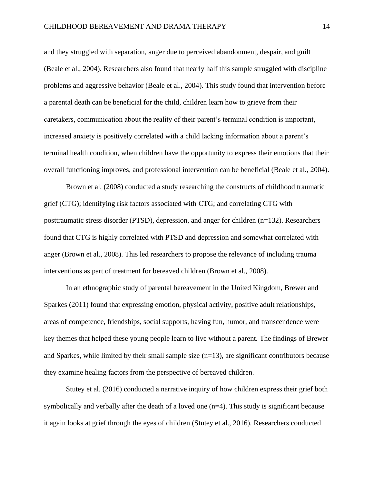and they struggled with separation, anger due to perceived abandonment, despair, and guilt (Beale et al., 2004). Researchers also found that nearly half this sample struggled with discipline problems and aggressive behavior (Beale et al., 2004). This study found that intervention before a parental death can be beneficial for the child, children learn how to grieve from their caretakers, communication about the reality of their parent's terminal condition is important, increased anxiety is positively correlated with a child lacking information about a parent's terminal health condition, when children have the opportunity to express their emotions that their overall functioning improves, and professional intervention can be beneficial (Beale et al., 2004).

Brown et al. (2008) conducted a study researching the constructs of childhood traumatic grief (CTG); identifying risk factors associated with CTG; and correlating CTG with posttraumatic stress disorder (PTSD), depression, and anger for children (n=132). Researchers found that CTG is highly correlated with PTSD and depression and somewhat correlated with anger (Brown et al., 2008). This led researchers to propose the relevance of including trauma interventions as part of treatment for bereaved children (Brown et al., 2008).

In an ethnographic study of parental bereavement in the United Kingdom, Brewer and Sparkes (2011) found that expressing emotion, physical activity, positive adult relationships, areas of competence, friendships, social supports, having fun, humor, and transcendence were key themes that helped these young people learn to live without a parent. The findings of Brewer and Sparkes, while limited by their small sample size  $(n=13)$ , are significant contributors because they examine healing factors from the perspective of bereaved children.

Stutey et al. (2016) conducted a narrative inquiry of how children express their grief both symbolically and verbally after the death of a loved one (n=4). This study is significant because it again looks at grief through the eyes of children (Stutey et al., 2016). Researchers conducted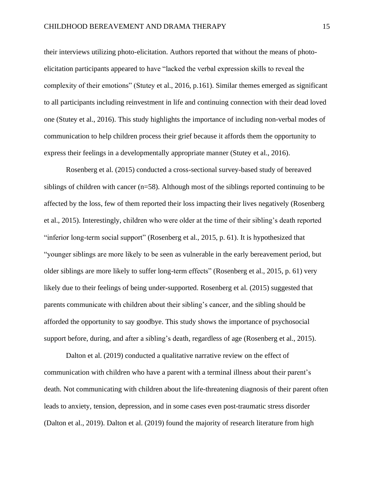their interviews utilizing photo-elicitation. Authors reported that without the means of photoelicitation participants appeared to have "lacked the verbal expression skills to reveal the complexity of their emotions" (Stutey et al., 2016, p.161). Similar themes emerged as significant to all participants including reinvestment in life and continuing connection with their dead loved one (Stutey et al., 2016). This study highlights the importance of including non-verbal modes of communication to help children process their grief because it affords them the opportunity to express their feelings in a developmentally appropriate manner (Stutey et al., 2016).

Rosenberg et al. (2015) conducted a cross-sectional survey-based study of bereaved siblings of children with cancer (n=58). Although most of the siblings reported continuing to be affected by the loss, few of them reported their loss impacting their lives negatively (Rosenberg et al., 2015). Interestingly, children who were older at the time of their sibling's death reported "inferior long-term social support" (Rosenberg et al., 2015, p. 61). It is hypothesized that "younger siblings are more likely to be seen as vulnerable in the early bereavement period, but older siblings are more likely to suffer long-term effects" (Rosenberg et al., 2015, p. 61) very likely due to their feelings of being under-supported. Rosenberg et al. (2015) suggested that parents communicate with children about their sibling's cancer, and the sibling should be afforded the opportunity to say goodbye. This study shows the importance of psychosocial support before, during, and after a sibling's death, regardless of age (Rosenberg et al., 2015).

Dalton et al. (2019) conducted a qualitative narrative review on the effect of communication with children who have a parent with a terminal illness about their parent's death. Not communicating with children about the life-threatening diagnosis of their parent often leads to anxiety, tension, depression, and in some cases even post-traumatic stress disorder (Dalton et al., 2019). Dalton et al. (2019) found the majority of research literature from high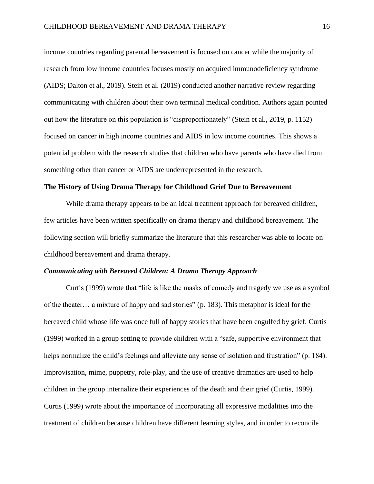income countries regarding parental bereavement is focused on cancer while the majority of research from low income countries focuses mostly on acquired immunodeficiency syndrome (AIDS; Dalton et al., 2019). Stein et al. (2019) conducted another narrative review regarding communicating with children about their own terminal medical condition. Authors again pointed out how the literature on this population is "disproportionately" (Stein et al., 2019, p. 1152) focused on cancer in high income countries and AIDS in low income countries. This shows a potential problem with the research studies that children who have parents who have died from something other than cancer or AIDS are underrepresented in the research.

## **The History of Using Drama Therapy for Childhood Grief Due to Bereavement**

While drama therapy appears to be an ideal treatment approach for bereaved children, few articles have been written specifically on drama therapy and childhood bereavement. The following section will briefly summarize the literature that this researcher was able to locate on childhood bereavement and drama therapy.

#### *Communicating with Bereaved Children: A Drama Therapy Approach*

Curtis (1999) wrote that "life is like the masks of comedy and tragedy we use as a symbol of the theater… a mixture of happy and sad stories" (p. 183). This metaphor is ideal for the bereaved child whose life was once full of happy stories that have been engulfed by grief. Curtis (1999) worked in a group setting to provide children with a "safe, supportive environment that helps normalize the child's feelings and alleviate any sense of isolation and frustration" (p. 184). Improvisation, mime, puppetry, role-play, and the use of creative dramatics are used to help children in the group internalize their experiences of the death and their grief (Curtis, 1999). Curtis (1999) wrote about the importance of incorporating all expressive modalities into the treatment of children because children have different learning styles, and in order to reconcile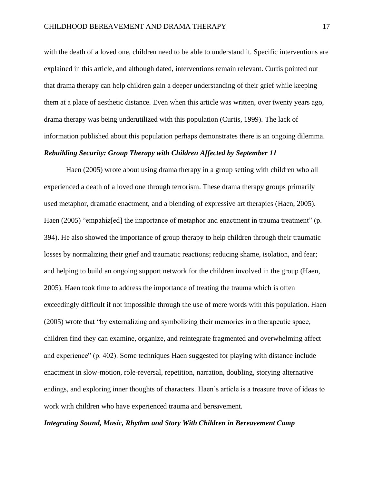with the death of a loved one, children need to be able to understand it. Specific interventions are explained in this article, and although dated, interventions remain relevant. Curtis pointed out that drama therapy can help children gain a deeper understanding of their grief while keeping them at a place of aesthetic distance. Even when this article was written, over twenty years ago, drama therapy was being underutilized with this population (Curtis, 1999). The lack of information published about this population perhaps demonstrates there is an ongoing dilemma.

## *Rebuilding Security: Group Therapy with Children Affected by September 11*

Haen (2005) wrote about using drama therapy in a group setting with children who all experienced a death of a loved one through terrorism. These drama therapy groups primarily used metaphor, dramatic enactment, and a blending of expressive art therapies (Haen, 2005). Haen (2005) "empahiz[ed] the importance of metaphor and enactment in trauma treatment" (p. 394). He also showed the importance of group therapy to help children through their traumatic losses by normalizing their grief and traumatic reactions; reducing shame, isolation, and fear; and helping to build an ongoing support network for the children involved in the group (Haen, 2005). Haen took time to address the importance of treating the trauma which is often exceedingly difficult if not impossible through the use of mere words with this population. Haen (2005) wrote that "by externalizing and symbolizing their memories in a therapeutic space, children find they can examine, organize, and reintegrate fragmented and overwhelming affect and experience" (p. 402). Some techniques Haen suggested for playing with distance include enactment in slow-motion, role-reversal, repetition, narration, doubling, storying alternative endings, and exploring inner thoughts of characters. Haen's article is a treasure trove of ideas to work with children who have experienced trauma and bereavement.

## *Integrating Sound, Music, Rhythm and Story With Children in Bereavement Camp*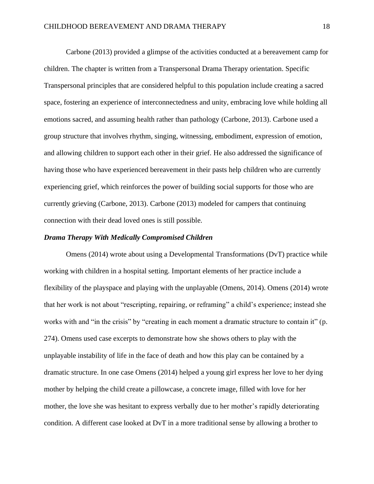Carbone (2013) provided a glimpse of the activities conducted at a bereavement camp for children. The chapter is written from a Transpersonal Drama Therapy orientation. Specific Transpersonal principles that are considered helpful to this population include creating a sacred space, fostering an experience of interconnectedness and unity, embracing love while holding all emotions sacred, and assuming health rather than pathology (Carbone, 2013). Carbone used a group structure that involves rhythm, singing, witnessing, embodiment, expression of emotion, and allowing children to support each other in their grief. He also addressed the significance of having those who have experienced bereavement in their pasts help children who are currently experiencing grief, which reinforces the power of building social supports for those who are currently grieving (Carbone, 2013). Carbone (2013) modeled for campers that continuing connection with their dead loved ones is still possible.

#### *Drama Therapy With Medically Compromised Children*

Omens (2014) wrote about using a Developmental Transformations (DvT) practice while working with children in a hospital setting. Important elements of her practice include a flexibility of the playspace and playing with the unplayable (Omens, 2014). Omens (2014) wrote that her work is not about "rescripting, repairing, or reframing" a child's experience; instead she works with and "in the crisis" by "creating in each moment a dramatic structure to contain it" (p. 274). Omens used case excerpts to demonstrate how she shows others to play with the unplayable instability of life in the face of death and how this play can be contained by a dramatic structure. In one case Omens (2014) helped a young girl express her love to her dying mother by helping the child create a pillowcase, a concrete image, filled with love for her mother, the love she was hesitant to express verbally due to her mother's rapidly deteriorating condition. A different case looked at DvT in a more traditional sense by allowing a brother to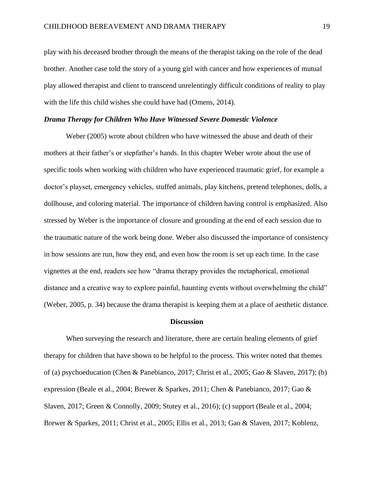play with his deceased brother through the means of the therapist taking on the role of the dead brother. Another case told the story of a young girl with cancer and how experiences of mutual play allowed therapist and client to transcend unrelentingly difficult conditions of reality to play with the life this child wishes she could have had (Omens, 2014).

## *Drama Therapy for Children Who Have Witnessed Severe Domestic Violence*

Weber (2005) wrote about children who have witnessed the abuse and death of their mothers at their father's or stepfather's hands. In this chapter Weber wrote about the use of specific tools when working with children who have experienced traumatic grief, for example a doctor's playset, emergency vehicles, stuffed animals, play kitchens, pretend telephones, dolls, a dollhouse, and coloring material. The importance of children having control is emphasized. Also stressed by Weber is the importance of closure and grounding at the end of each session due to the traumatic nature of the work being done. Weber also discussed the importance of consistency in how sessions are run, how they end, and even how the room is set up each time. In the case vignettes at the end, readers see how "drama therapy provides the metaphorical, emotional distance and a creative way to explore painful, haunting events without overwhelming the child" (Weber, 2005, p. 34) because the drama therapist is keeping them at a place of aesthetic distance.

#### **Discussion**

When surveying the research and literature, there are certain healing elements of grief therapy for children that have shown to be helpful to the process. This writer noted that themes of (a) psychoeducation (Chen & Panebianco, 2017; Christ et al., 2005; Gao & Slaven, 2017); (b) expression (Beale et al., 2004; Brewer & Sparkes, 2011; Chen & Panebianco, 2017; Gao & Slaven, 2017; Green & Connolly, 2009; Stutey et al., 2016); (c) support (Beale et al., 2004; Brewer & Sparkes, 2011; Christ et al., 2005; Ellis et al., 2013; Gao & Slaven, 2017; Koblenz,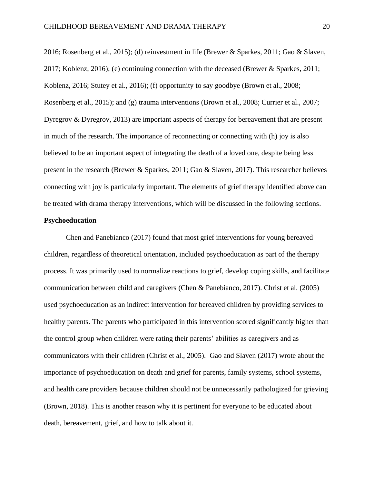2016; Rosenberg et al., 2015); (d) reinvestment in life (Brewer & Sparkes, 2011; Gao & Slaven, 2017; Koblenz, 2016); (e) continuing connection with the deceased (Brewer & Sparkes, 2011; Koblenz, 2016; Stutey et al., 2016); (f) opportunity to say goodbye (Brown et al., 2008; Rosenberg et al., 2015); and (g) trauma interventions (Brown et al., 2008; Currier et al., 2007; Dyregrov & Dyregrov, 2013) are important aspects of therapy for bereavement that are present in much of the research. The importance of reconnecting or connecting with (h) joy is also believed to be an important aspect of integrating the death of a loved one, despite being less present in the research (Brewer & Sparkes, 2011; Gao & Slaven, 2017). This researcher believes connecting with joy is particularly important. The elements of grief therapy identified above can be treated with drama therapy interventions, which will be discussed in the following sections.

## **Psychoeducation**

Chen and Panebianco (2017) found that most grief interventions for young bereaved children, regardless of theoretical orientation, included psychoeducation as part of the therapy process. It was primarily used to normalize reactions to grief, develop coping skills, and facilitate communication between child and caregivers (Chen & Panebianco, 2017). Christ et al. (2005) used psychoeducation as an indirect intervention for bereaved children by providing services to healthy parents. The parents who participated in this intervention scored significantly higher than the control group when children were rating their parents' abilities as caregivers and as communicators with their children (Christ et al., 2005). Gao and Slaven (2017) wrote about the importance of psychoeducation on death and grief for parents, family systems, school systems, and health care providers because children should not be unnecessarily pathologized for grieving (Brown, 2018). This is another reason why it is pertinent for everyone to be educated about death, bereavement, grief, and how to talk about it.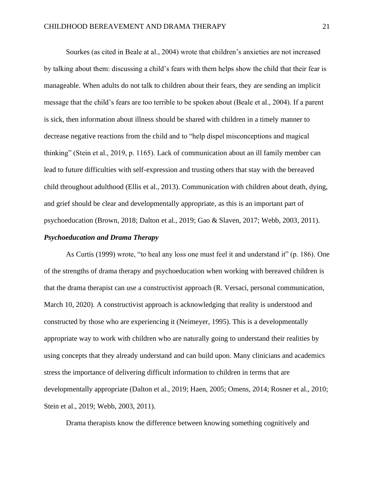Sourkes (as cited in Beale at al., 2004) wrote that children's anxieties are not increased by talking about them: discussing a child's fears with them helps show the child that their fear is manageable. When adults do not talk to children about their fears, they are sending an implicit message that the child's fears are too terrible to be spoken about (Beale et al., 2004). If a parent is sick, then information about illness should be shared with children in a timely manner to decrease negative reactions from the child and to "help dispel misconceptions and magical thinking" (Stein et al., 2019, p. 1165). Lack of communication about an ill family member can lead to future difficulties with self-expression and trusting others that stay with the bereaved child throughout adulthood (Ellis et al., 2013). Communication with children about death, dying, and grief should be clear and developmentally appropriate, as this is an important part of psychoeducation (Brown, 2018; Dalton et al., 2019; Gao & Slaven, 2017; Webb, 2003, 2011).

## *Psychoeducation and Drama Therapy*

As Curtis (1999) wrote, "to heal any loss one must feel it and understand it" (p. 186). One of the strengths of drama therapy and psychoeducation when working with bereaved children is that the drama therapist can use a constructivist approach (R. Versaci, personal communication, March 10, 2020). A constructivist approach is acknowledging that reality is understood and constructed by those who are experiencing it (Neimeyer, 1995). This is a developmentally appropriate way to work with children who are naturally going to understand their realities by using concepts that they already understand and can build upon. Many clinicians and academics stress the importance of delivering difficult information to children in terms that are developmentally appropriate (Dalton et al., 2019; Haen, 2005; Omens, 2014; Rosner et al., 2010; Stein et al., 2019; Webb, 2003, 2011).

Drama therapists know the difference between knowing something cognitively and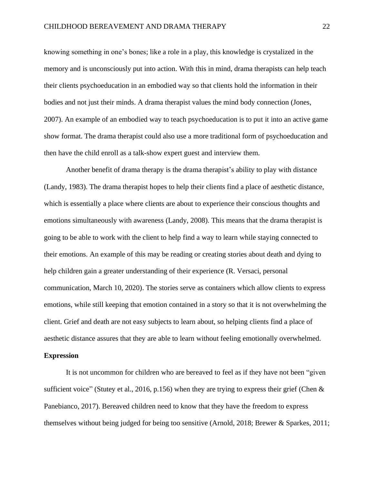knowing something in one's bones; like a role in a play, this knowledge is crystalized in the memory and is unconsciously put into action. With this in mind, drama therapists can help teach their clients psychoeducation in an embodied way so that clients hold the information in their bodies and not just their minds. A drama therapist values the mind body connection (Jones, 2007). An example of an embodied way to teach psychoeducation is to put it into an active game show format. The drama therapist could also use a more traditional form of psychoeducation and then have the child enroll as a talk-show expert guest and interview them.

Another benefit of drama therapy is the drama therapist's ability to play with distance (Landy, 1983). The drama therapist hopes to help their clients find a place of aesthetic distance, which is essentially a place where clients are about to experience their conscious thoughts and emotions simultaneously with awareness (Landy, 2008). This means that the drama therapist is going to be able to work with the client to help find a way to learn while staying connected to their emotions. An example of this may be reading or creating stories about death and dying to help children gain a greater understanding of their experience (R. Versaci, personal communication, March 10, 2020). The stories serve as containers which allow clients to express emotions, while still keeping that emotion contained in a story so that it is not overwhelming the client. Grief and death are not easy subjects to learn about, so helping clients find a place of aesthetic distance assures that they are able to learn without feeling emotionally overwhelmed.

#### **Expression**

It is not uncommon for children who are bereaved to feel as if they have not been "given sufficient voice" (Stutey et al., 2016, p.156) when they are trying to express their grief (Chen  $\&$ Panebianco, 2017). Bereaved children need to know that they have the freedom to express themselves without being judged for being too sensitive (Arnold, 2018; Brewer & Sparkes, 2011;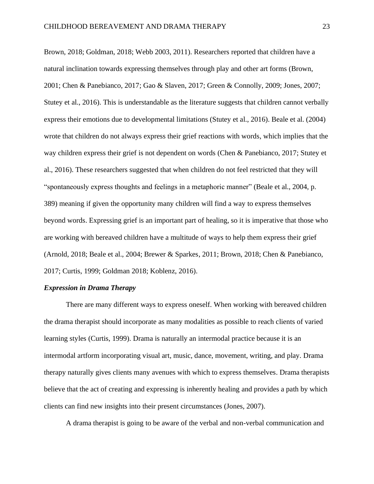Brown, 2018; Goldman, 2018; Webb 2003, 2011). Researchers reported that children have a natural inclination towards expressing themselves through play and other art forms (Brown, 2001; Chen & Panebianco, 2017; Gao & Slaven, 2017; Green & Connolly, 2009; Jones, 2007; Stutey et al., 2016). This is understandable as the literature suggests that children cannot verbally express their emotions due to developmental limitations (Stutey et al., 2016). Beale et al. (2004) wrote that children do not always express their grief reactions with words, which implies that the way children express their grief is not dependent on words (Chen & Panebianco, 2017; Stutey et al., 2016). These researchers suggested that when children do not feel restricted that they will "spontaneously express thoughts and feelings in a metaphoric manner" (Beale et al., 2004, p. 389) meaning if given the opportunity many children will find a way to express themselves beyond words. Expressing grief is an important part of healing, so it is imperative that those who are working with bereaved children have a multitude of ways to help them express their grief (Arnold, 2018; Beale et al., 2004; Brewer & Sparkes, 2011; Brown, 2018; Chen & Panebianco, 2017; Curtis, 1999; Goldman 2018; Koblenz, 2016).

## *Expression in Drama Therapy*

There are many different ways to express oneself. When working with bereaved children the drama therapist should incorporate as many modalities as possible to reach clients of varied learning styles (Curtis, 1999). Drama is naturally an intermodal practice because it is an intermodal artform incorporating visual art, music, dance, movement, writing, and play. Drama therapy naturally gives clients many avenues with which to express themselves. Drama therapists believe that the act of creating and expressing is inherently healing and provides a path by which clients can find new insights into their present circumstances (Jones, 2007).

A drama therapist is going to be aware of the verbal and non-verbal communication and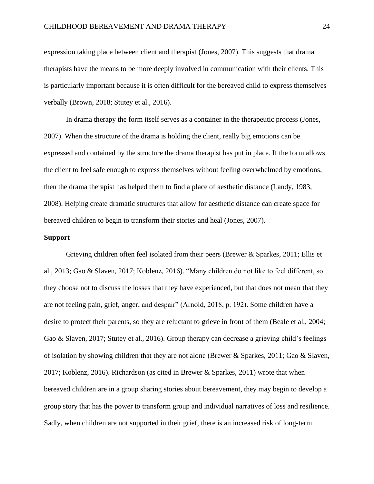expression taking place between client and therapist (Jones, 2007). This suggests that drama therapists have the means to be more deeply involved in communication with their clients. This is particularly important because it is often difficult for the bereaved child to express themselves verbally (Brown, 2018; Stutey et al., 2016).

In drama therapy the form itself serves as a container in the therapeutic process (Jones, 2007). When the structure of the drama is holding the client, really big emotions can be expressed and contained by the structure the drama therapist has put in place. If the form allows the client to feel safe enough to express themselves without feeling overwhelmed by emotions, then the drama therapist has helped them to find a place of aesthetic distance (Landy, 1983, 2008). Helping create dramatic structures that allow for aesthetic distance can create space for bereaved children to begin to transform their stories and heal (Jones, 2007).

## **Support**

Grieving children often feel isolated from their peers (Brewer & Sparkes, 2011; Ellis et al., 2013; Gao & Slaven, 2017; Koblenz, 2016). "Many children do not like to feel different, so they choose not to discuss the losses that they have experienced, but that does not mean that they are not feeling pain, grief, anger, and despair" (Arnold, 2018, p. 192). Some children have a desire to protect their parents, so they are reluctant to grieve in front of them (Beale et al., 2004; Gao & Slaven, 2017; Stutey et al., 2016). Group therapy can decrease a grieving child's feelings of isolation by showing children that they are not alone (Brewer & Sparkes, 2011; Gao & Slaven, 2017; Koblenz, 2016). Richardson (as cited in Brewer & Sparkes, 2011) wrote that when bereaved children are in a group sharing stories about bereavement, they may begin to develop a group story that has the power to transform group and individual narratives of loss and resilience. Sadly, when children are not supported in their grief, there is an increased risk of long-term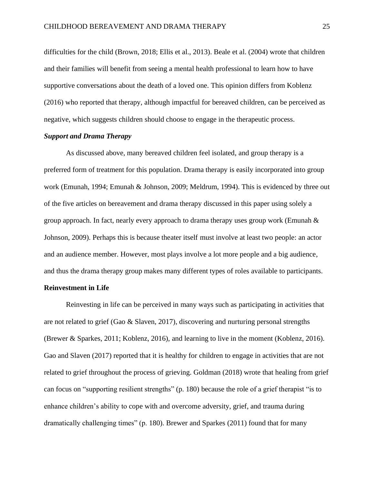difficulties for the child (Brown, 2018; Ellis et al., 2013). Beale et al. (2004) wrote that children and their families will benefit from seeing a mental health professional to learn how to have supportive conversations about the death of a loved one. This opinion differs from Koblenz (2016) who reported that therapy, although impactful for bereaved children, can be perceived as negative, which suggests children should choose to engage in the therapeutic process.

## *Support and Drama Therapy*

As discussed above, many bereaved children feel isolated, and group therapy is a preferred form of treatment for this population. Drama therapy is easily incorporated into group work (Emunah, 1994; Emunah & Johnson, 2009; Meldrum, 1994). This is evidenced by three out of the five articles on bereavement and drama therapy discussed in this paper using solely a group approach. In fact, nearly every approach to drama therapy uses group work (Emunah  $\&$ Johnson, 2009). Perhaps this is because theater itself must involve at least two people: an actor and an audience member. However, most plays involve a lot more people and a big audience, and thus the drama therapy group makes many different types of roles available to participants.

## **Reinvestment in Life**

Reinvesting in life can be perceived in many ways such as participating in activities that are not related to grief (Gao & Slaven, 2017), discovering and nurturing personal strengths (Brewer & Sparkes, 2011; Koblenz, 2016), and learning to live in the moment (Koblenz, 2016). Gao and Slaven (2017) reported that it is healthy for children to engage in activities that are not related to grief throughout the process of grieving. Goldman (2018) wrote that healing from grief can focus on "supporting resilient strengths" (p. 180) because the role of a grief therapist "is to enhance children's ability to cope with and overcome adversity, grief, and trauma during dramatically challenging times" (p. 180). Brewer and Sparkes (2011) found that for many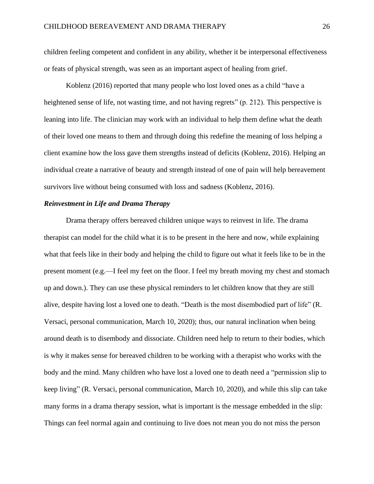children feeling competent and confident in any ability, whether it be interpersonal effectiveness or feats of physical strength, was seen as an important aspect of healing from grief.

Koblenz (2016) reported that many people who lost loved ones as a child "have a heightened sense of life, not wasting time, and not having regrets" (p. 212). This perspective is leaning into life. The clinician may work with an individual to help them define what the death of their loved one means to them and through doing this redefine the meaning of loss helping a client examine how the loss gave them strengths instead of deficits (Koblenz, 2016). Helping an individual create a narrative of beauty and strength instead of one of pain will help bereavement survivors live without being consumed with loss and sadness (Koblenz, 2016).

## *Reinvestment in Life and Drama Therapy*

Drama therapy offers bereaved children unique ways to reinvest in life. The drama therapist can model for the child what it is to be present in the here and now, while explaining what that feels like in their body and helping the child to figure out what it feels like to be in the present moment (e.g.—I feel my feet on the floor. I feel my breath moving my chest and stomach up and down.). They can use these physical reminders to let children know that they are still alive, despite having lost a loved one to death. "Death is the most disembodied part of life" (R. Versaci, personal communication, March 10, 2020); thus, our natural inclination when being around death is to disembody and dissociate. Children need help to return to their bodies, which is why it makes sense for bereaved children to be working with a therapist who works with the body and the mind. Many children who have lost a loved one to death need a "permission slip to keep living" (R. Versaci, personal communication, March 10, 2020), and while this slip can take many forms in a drama therapy session, what is important is the message embedded in the slip: Things can feel normal again and continuing to live does not mean you do not miss the person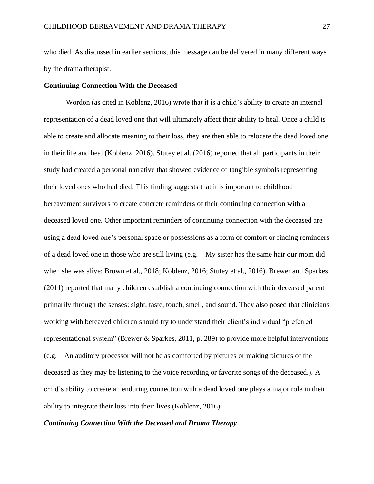who died. As discussed in earlier sections, this message can be delivered in many different ways by the drama therapist.

### **Continuing Connection With the Deceased**

Wordon (as cited in Koblenz, 2016) wrote that it is a child's ability to create an internal representation of a dead loved one that will ultimately affect their ability to heal. Once a child is able to create and allocate meaning to their loss, they are then able to relocate the dead loved one in their life and heal (Koblenz, 2016). Stutey et al. (2016) reported that all participants in their study had created a personal narrative that showed evidence of tangible symbols representing their loved ones who had died. This finding suggests that it is important to childhood bereavement survivors to create concrete reminders of their continuing connection with a deceased loved one. Other important reminders of continuing connection with the deceased are using a dead loved one's personal space or possessions as a form of comfort or finding reminders of a dead loved one in those who are still living (e.g.—My sister has the same hair our mom did when she was alive; Brown et al., 2018; Koblenz, 2016; Stutey et al., 2016). Brewer and Sparkes (2011) reported that many children establish a continuing connection with their deceased parent primarily through the senses: sight, taste, touch, smell, and sound. They also posed that clinicians working with bereaved children should try to understand their client's individual "preferred representational system" (Brewer & Sparkes, 2011, p. 289) to provide more helpful interventions (e.g.—An auditory processor will not be as comforted by pictures or making pictures of the deceased as they may be listening to the voice recording or favorite songs of the deceased.). A child's ability to create an enduring connection with a dead loved one plays a major role in their ability to integrate their loss into their lives (Koblenz, 2016).

#### *Continuing Connection With the Deceased and Drama Therapy*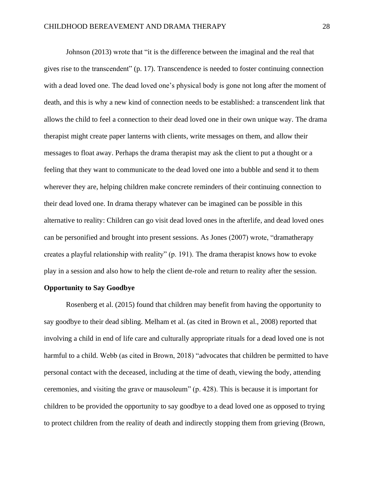Johnson (2013) wrote that "it is the difference between the imaginal and the real that gives rise to the transcendent" (p. 17). Transcendence is needed to foster continuing connection with a dead loved one. The dead loved one's physical body is gone not long after the moment of death, and this is why a new kind of connection needs to be established: a transcendent link that allows the child to feel a connection to their dead loved one in their own unique way. The drama therapist might create paper lanterns with clients, write messages on them, and allow their messages to float away. Perhaps the drama therapist may ask the client to put a thought or a feeling that they want to communicate to the dead loved one into a bubble and send it to them wherever they are, helping children make concrete reminders of their continuing connection to their dead loved one. In drama therapy whatever can be imagined can be possible in this alternative to reality: Children can go visit dead loved ones in the afterlife, and dead loved ones can be personified and brought into present sessions. As Jones (2007) wrote, "dramatherapy creates a playful relationship with reality" (p. 191). The drama therapist knows how to evoke play in a session and also how to help the client de-role and return to reality after the session.

#### **Opportunity to Say Goodbye**

Rosenberg et al. (2015) found that children may benefit from having the opportunity to say goodbye to their dead sibling. Melham et al. (as cited in Brown et al., 2008) reported that involving a child in end of life care and culturally appropriate rituals for a dead loved one is not harmful to a child. Webb (as cited in Brown, 2018) "advocates that children be permitted to have personal contact with the deceased, including at the time of death, viewing the body, attending ceremonies, and visiting the grave or mausoleum" (p. 428). This is because it is important for children to be provided the opportunity to say goodbye to a dead loved one as opposed to trying to protect children from the reality of death and indirectly stopping them from grieving (Brown,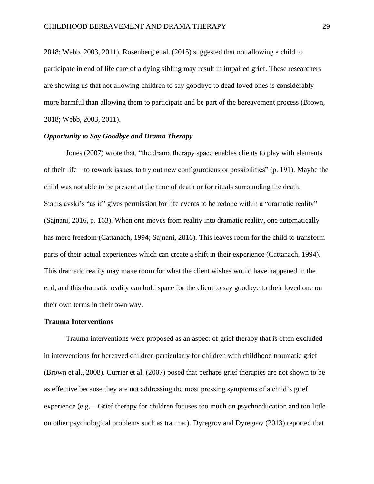2018; Webb, 2003, 2011). Rosenberg et al. (2015) suggested that not allowing a child to participate in end of life care of a dying sibling may result in impaired grief. These researchers are showing us that not allowing children to say goodbye to dead loved ones is considerably more harmful than allowing them to participate and be part of the bereavement process (Brown, 2018; Webb, 2003, 2011).

#### *Opportunity to Say Goodbye and Drama Therapy*

Jones (2007) wrote that, "the drama therapy space enables clients to play with elements of their life – to rework issues, to try out new configurations or possibilities" (p. 191). Maybe the child was not able to be present at the time of death or for rituals surrounding the death. Stanislavski's "as if" gives permission for life events to be redone within a "dramatic reality" (Sajnani, 2016, p. 163). When one moves from reality into dramatic reality, one automatically has more freedom (Cattanach, 1994; Sajnani, 2016). This leaves room for the child to transform parts of their actual experiences which can create a shift in their experience (Cattanach, 1994). This dramatic reality may make room for what the client wishes would have happened in the end, and this dramatic reality can hold space for the client to say goodbye to their loved one on their own terms in their own way.

#### **Trauma Interventions**

Trauma interventions were proposed as an aspect of grief therapy that is often excluded in interventions for bereaved children particularly for children with childhood traumatic grief (Brown et al., 2008). Currier et al. (2007) posed that perhaps grief therapies are not shown to be as effective because they are not addressing the most pressing symptoms of a child's grief experience (e.g.—Grief therapy for children focuses too much on psychoeducation and too little on other psychological problems such as trauma.). Dyregrov and Dyregrov (2013) reported that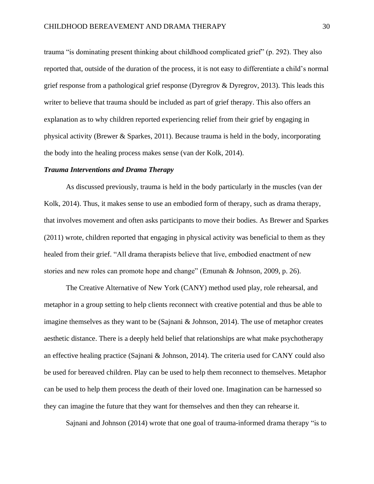trauma "is dominating present thinking about childhood complicated grief" (p. 292). They also reported that, outside of the duration of the process, it is not easy to differentiate a child's normal grief response from a pathological grief response (Dyregrov & Dyregrov, 2013). This leads this writer to believe that trauma should be included as part of grief therapy. This also offers an explanation as to why children reported experiencing relief from their grief by engaging in physical activity (Brewer & Sparkes, 2011). Because trauma is held in the body, incorporating the body into the healing process makes sense (van der Kolk, 2014).

#### *Trauma Interventions and Drama Therapy*

As discussed previously, trauma is held in the body particularly in the muscles (van der Kolk, 2014). Thus, it makes sense to use an embodied form of therapy, such as drama therapy, that involves movement and often asks participants to move their bodies. As Brewer and Sparkes (2011) wrote, children reported that engaging in physical activity was beneficial to them as they healed from their grief. "All drama therapists believe that live, embodied enactment of new stories and new roles can promote hope and change" (Emunah & Johnson, 2009, p. 26).

The Creative Alternative of New York (CANY) method used play, role rehearsal, and metaphor in a group setting to help clients reconnect with creative potential and thus be able to imagine themselves as they want to be (Sajnani & Johnson, 2014). The use of metaphor creates aesthetic distance. There is a deeply held belief that relationships are what make psychotherapy an effective healing practice (Sajnani & Johnson, 2014). The criteria used for CANY could also be used for bereaved children. Play can be used to help them reconnect to themselves. Metaphor can be used to help them process the death of their loved one. Imagination can be harnessed so they can imagine the future that they want for themselves and then they can rehearse it.

Sajnani and Johnson (2014) wrote that one goal of trauma-informed drama therapy "is to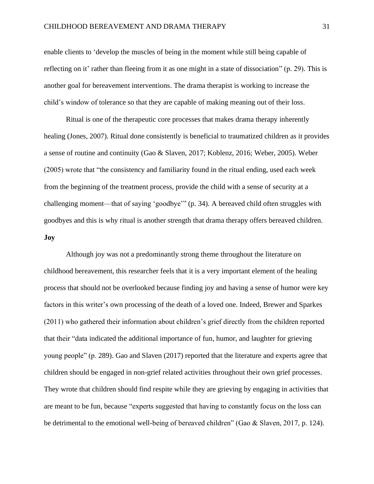enable clients to 'develop the muscles of being in the moment while still being capable of reflecting on it' rather than fleeing from it as one might in a state of dissociation" (p. 29). This is another goal for bereavement interventions. The drama therapist is working to increase the child's window of tolerance so that they are capable of making meaning out of their loss.

Ritual is one of the therapeutic core processes that makes drama therapy inherently healing (Jones, 2007). Ritual done consistently is beneficial to traumatized children as it provides a sense of routine and continuity (Gao & Slaven, 2017; Koblenz, 2016; Weber, 2005). Weber (2005) wrote that "the consistency and familiarity found in the ritual ending, used each week from the beginning of the treatment process, provide the child with a sense of security at a challenging moment—that of saying 'goodbye'" (p. 34). A bereaved child often struggles with goodbyes and this is why ritual is another strength that drama therapy offers bereaved children. **Joy**

Although joy was not a predominantly strong theme throughout the literature on childhood bereavement, this researcher feels that it is a very important element of the healing process that should not be overlooked because finding joy and having a sense of humor were key factors in this writer's own processing of the death of a loved one. Indeed, Brewer and Sparkes (2011) who gathered their information about children's grief directly from the children reported that their "data indicated the additional importance of fun, humor, and laughter for grieving young people" (p. 289). Gao and Slaven (2017) reported that the literature and experts agree that children should be engaged in non-grief related activities throughout their own grief processes. They wrote that children should find respite while they are grieving by engaging in activities that are meant to be fun, because "experts suggested that having to constantly focus on the loss can be detrimental to the emotional well-being of bereaved children" (Gao & Slaven, 2017, p. 124).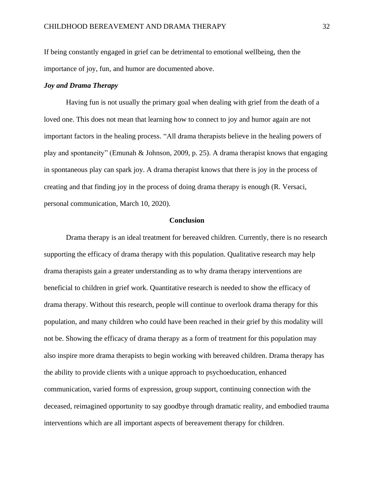If being constantly engaged in grief can be detrimental to emotional wellbeing, then the importance of joy, fun, and humor are documented above.

## *Joy and Drama Therapy*

Having fun is not usually the primary goal when dealing with grief from the death of a loved one. This does not mean that learning how to connect to joy and humor again are not important factors in the healing process. "All drama therapists believe in the healing powers of play and spontaneity" (Emunah & Johnson, 2009, p. 25). A drama therapist knows that engaging in spontaneous play can spark joy. A drama therapist knows that there is joy in the process of creating and that finding joy in the process of doing drama therapy is enough (R. Versaci, personal communication, March 10, 2020).

## **Conclusion**

Drama therapy is an ideal treatment for bereaved children. Currently, there is no research supporting the efficacy of drama therapy with this population. Qualitative research may help drama therapists gain a greater understanding as to why drama therapy interventions are beneficial to children in grief work. Quantitative research is needed to show the efficacy of drama therapy. Without this research, people will continue to overlook drama therapy for this population, and many children who could have been reached in their grief by this modality will not be. Showing the efficacy of drama therapy as a form of treatment for this population may also inspire more drama therapists to begin working with bereaved children. Drama therapy has the ability to provide clients with a unique approach to psychoeducation, enhanced communication, varied forms of expression, group support, continuing connection with the deceased, reimagined opportunity to say goodbye through dramatic reality, and embodied trauma interventions which are all important aspects of bereavement therapy for children.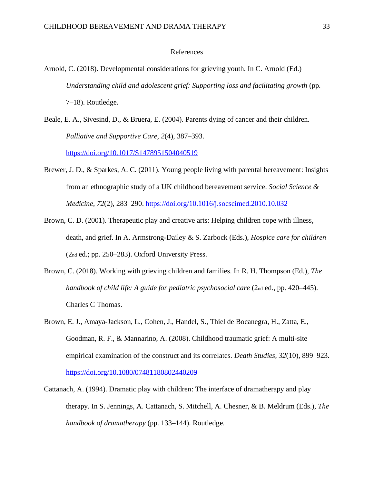## References

- Arnold, C. (2018). Developmental considerations for grieving youth. In C. Arnold (Ed.) *Understanding child and adolescent grief: Supporting loss and facilitating growth* (pp. 7–18). Routledge.
- Beale, E. A., Sivesind, D., & Bruera, E. (2004). Parents dying of cancer and their children. *Palliative and Supportive Care, 2*(4), 387–393. <https://doi.org/10.1017/S1478951504040519>
- Brewer, J. D., & Sparkes, A. C. (2011). Young people living with parental bereavement: Insights from an ethnographic study of a UK childhood bereavement service. *Social Science & Medicine, 72*(2)*,* 283–290.<https://doi.org/10.1016/j.socscimed.2010.10.032>
- Brown, C. D. (2001). Therapeutic play and creative arts: Helping children cope with illness, death, and grief. In A. Armstrong-Dailey & S. Zarbock (Eds.), *Hospice care for children* (2nd ed.; pp. 250–283). Oxford University Press.
- Brown, C. (2018). Working with grieving children and families. In R. H. Thompson (Ed.), *The handbook of child life: A guide for pediatric psychosocial care (2nd ed., pp. 420–445).* Charles C Thomas.
- Brown, E. J., Amaya-Jackson, L., Cohen, J., Handel, S., Thiel de Bocanegra, H., Zatta, E., Goodman, R. F., & Mannarino, A. (2008). Childhood traumatic grief: A multi-site empirical examination of the construct and its correlates. *Death Studies, 32*(10)*,* 899–923. <https://doi.org/10.1080/07481180802440209>
- Cattanach, A. (1994). Dramatic play with children: The interface of dramatherapy and play therapy. In S. Jennings, A. Cattanach, S. Mitchell, A. Chesner, & B. Meldrum (Eds.), *The handbook of dramatherapy* (pp. 133–144). Routledge.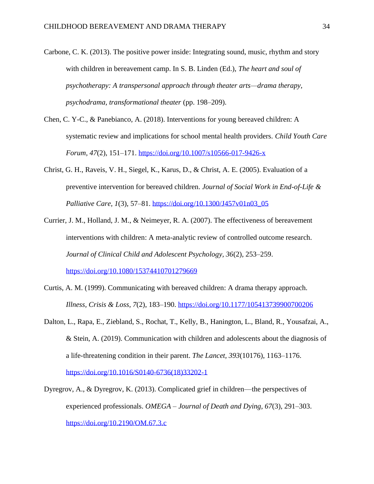- Carbone, C. K. (2013). The positive power inside: Integrating sound, music, rhythm and story with children in bereavement camp. In S. B. Linden (Ed.), *The heart and soul of psychotherapy: A transpersonal approach through theater arts—drama therapy, psychodrama, transformational theater* (pp. 198–209).
- Chen, C. Y-C., & Panebianco, A. (2018). Interventions for young bereaved children: A systematic review and implications for school mental health providers. *Child Youth Care Forum, 47*(2), 151–171.<https://doi.org/10.1007/s10566-017-9426-x>
- Christ, G. H., Raveis, V. H., Siegel, K., Karus, D., & Christ, A. E. (2005). Evaluation of a preventive intervention for bereaved children. *Journal of Social Work in End-of-Life & Palliative Care, 1*(3), 57–81. [https://doi.org/10.1300/J457v01n03\\_05](https://doi.org/10.1300/J457v01n03_05)
- Currier, J. M., Holland, J. M., & Neimeyer, R. A. (2007). The effectiveness of bereavement interventions with children: A meta-analytic review of controlled outcome research. *Journal of Clinical Child and Adolescent Psychology, 36*(2), 253–259.

<https://doi.org/10.1080/15374410701279669>

- Curtis, A. M. (1999). Communicating with bereaved children: A drama therapy approach. *Illness, Crisis & Loss, 7*(2), 183–190. <https://doi.org/10.1177/105413739900700206>
- Dalton, L., Rapa, E., Ziebland, S., Rochat, T., Kelly, B., Hanington, L., Bland, R., Yousafzai, A., & Stein, A. (2019). Communication with children and adolescents about the diagnosis of a life-threatening condition in their parent. *The Lancet, 393*(10176), 1163–1176. [https://doi.org/10.1016/S0140-6736\(18\)33202-1](https://doi.org/10.1016/S0140-6736(18)33202-1)
- Dyregrov, A., & Dyregrov, K. (2013). Complicated grief in children—the perspectives of experienced professionals. *OMEGA – Journal of Death and Dying, 67*(3), 291–303. <https://doi.org/10.2190/OM.67.3.c>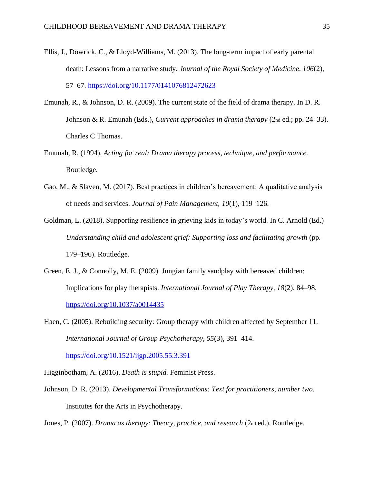- Ellis, J., Dowrick, C., & Lloyd-Williams, M. (2013). The long-term impact of early parental death: Lessons from a narrative study. *Journal of the Royal Society of Medicine, 106*(2), 57–67.<https://doi.org/10.1177/0141076812472623>
- Emunah, R., & Johnson, D. R. (2009). The current state of the field of drama therapy. In D. R. Johnson & R. Emunah (Eds.), *Current approaches in drama therapy* (2nd ed.; pp. 24–33). Charles C Thomas.
- Emunah, R. (1994). *Acting for real: Drama therapy process, technique, and performance.* Routledge.
- Gao, M., & Slaven, M. (2017). Best practices in children's bereavement: A qualitative analysis of needs and services. *Journal of Pain Management, 10*(1), 119–126.
- Goldman, L. (2018). Supporting resilience in grieving kids in today's world. In C. Arnold (Ed.) *Understanding child and adolescent grief: Supporting loss and facilitating growth* (pp*.*  179–196). Routledge.
- Green, E. J., & Connolly, M. E. (2009). Jungian family sandplay with bereaved children: Implications for play therapists. *International Journal of Play Therapy, 18*(2), 84–98. <https://doi.org/10.1037/a0014435>
- Haen, C. (2005). Rebuilding security: Group therapy with children affected by September 11. *International Journal of Group Psychotherapy, 55*(3), 391–414.

<https://doi.org/10.1521/ijgp.2005.55.3.391>

Higginbotham, A. (2016). *Death is stupid.* Feminist Press.

Johnson, D. R. (2013). *Developmental Transformations: Text for practitioners, number two.* Institutes for the Arts in Psychotherapy.

Jones, P. (2007). *Drama as therapy: Theory, practice, and research* (2nd ed.). Routledge.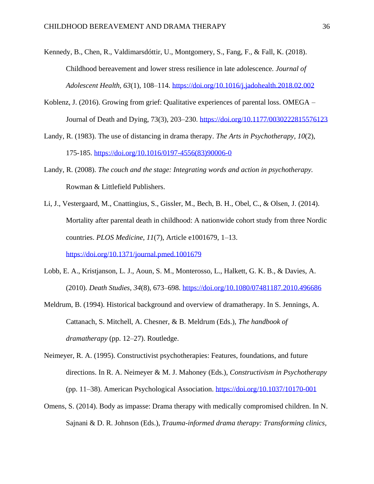- Kennedy, B., Chen, R., Valdimarsdóttir, U., Montgomery, S., Fang, F., & Fall, K. (2018). Childhood bereavement and lower stress resilience in late adolescence. *Journal of Adolescent Health, 63*(1), 108–114.<https://doi.org/10.1016/j.jadohealth.2018.02.002>
- Koblenz, J. (2016). Growing from grief: Qualitative experiences of parental loss. OMEGA Journal of Death and Dying, 73(3), 203–230.<https://doi.org/10.1177/0030222815576123>
- Landy, R. (1983). The use of distancing in drama therapy. *The Arts in Psychotherapy*, *10*(2), 175-185. [https://doi.org/10.1016/0197-4556\(83\)90006-0](https://doi.org/10.1016/0197-4556(83)90006-0)
- Landy, R. (2008). *The couch and the stage: Integrating words and action in psychotherapy.* Rowman & Littlefield Publishers.
- Li, J., Vestergaard, M., Cnattingius, S., Gissler, M., Bech, B. H., Obel, C., & Olsen, J. (2014). Mortality after parental death in childhood: A nationwide cohort study from three Nordic countries. *PLOS Medicine, 11*(7), Article e1001679, 1–13. <https://doi.org/10.1371/journal.pmed.1001679>
- Lobb, E. A., Kristjanson, L. J., Aoun, S. M., Monterosso, L., Halkett, G. K. B., & Davies, A. (2010). *Death Studies, 34*(8), 673–698.<https://doi.org/10.1080/07481187.2010.496686>
- Meldrum, B. (1994). Historical background and overview of dramatherapy. In S. Jennings, A. Cattanach, S. Mitchell, A. Chesner, & B. Meldrum (Eds.), *The handbook of dramatherapy* (pp. 12–27). Routledge.
- Neimeyer, R. A. (1995). Constructivist psychotherapies: Features, foundations, and future directions. In R. A. Neimeyer & M. J. Mahoney (Eds.), *Constructivism in Psychotherapy*  (pp. 11–38). American Psychological Association.<https://doi.org/10.1037/10170-001>
- Omens, S. (2014). Body as impasse: Drama therapy with medically compromised children. In N. Sajnani & D. R. Johnson (Eds.), *Trauma-informed drama therapy: Transforming clinics,*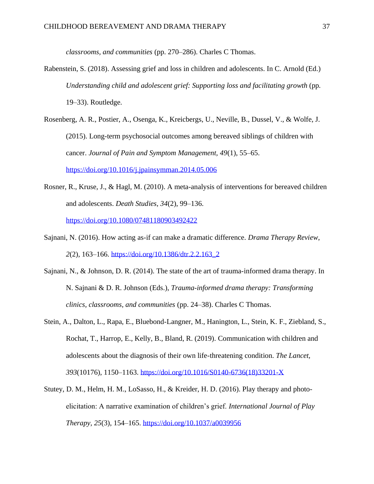*classrooms, and communities* (pp. 270–286). Charles C Thomas.

- Rabenstein, S. (2018). Assessing grief and loss in children and adolescents. In C. Arnold (Ed.) *Understanding child and adolescent grief: Supporting loss and facilitating growth* (pp. 19–33). Routledge.
- Rosenberg, A. R., Postier, A., Osenga, K., Kreicbergs, U., Neville, B., Dussel, V., & Wolfe, J. (2015). Long-term psychosocial outcomes among bereaved siblings of children with cancer. *Journal of Pain and Symptom Management, 49*(1), 55–65. <https://doi.org/10.1016/j.jpainsymman.2014.05.006>
- Rosner, R., Kruse, J., & Hagl, M. (2010). A meta-analysis of interventions for bereaved children and adolescents. *Death Studies, 34*(2), 99–136.

<https://doi.org/10.1080/07481180903492422>

- Sajnani, N. (2016). How acting as-if can make a dramatic difference. *Drama Therapy Review*, *2*(2), 163–166. [https://doi.org/10.1386/dtr.2.2.163\\_2](https://doi.org/10.1386/dtr.2.2.163_2)
- Sajnani, N., & Johnson, D. R. (2014). The state of the art of trauma-informed drama therapy. In N. Sajnani & D. R. Johnson (Eds.), *Trauma-informed drama therapy: Transforming clinics, classrooms, and communities* (pp. 24–38). Charles C Thomas.
- Stein, A., Dalton, L., Rapa, E., Bluebond-Langner, M., Hanington, L., Stein, K. F., Ziebland, S., Rochat, T., Harrop, E., Kelly, B., Bland, R. (2019). Communication with children and adolescents about the diagnosis of their own life-threatening condition. *The Lancet, 393*(10176), 1150–1163. [https://doi.org/10.1016/S0140-6736\(18\)33201-X](https://doi.org/10.1016/S0140-6736(18)33201-X)
- Stutey, D. M., Helm, H. M., LoSasso, H., & Kreider, H. D. (2016). Play therapy and photoelicitation: A narrative examination of children's grief. *International Journal of Play Therapy, 25*(3), 154–165.<https://doi.org/10.1037/a0039956>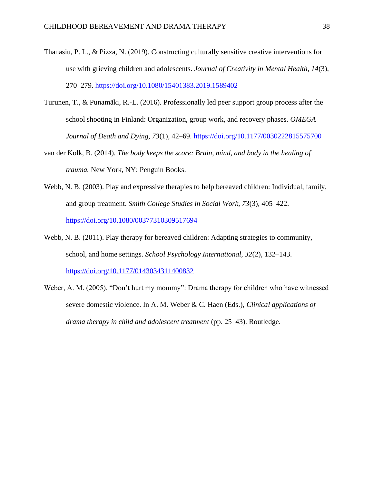- Thanasiu, P. L., & Pizza, N. (2019). Constructing culturally sensitive creative interventions for use with grieving children and adolescents. *Journal of Creativity in Mental Health, 14*(3), 270–279.<https://doi.org/10.1080/15401383.2019.1589402>
- Turunen, T., & Punamäki, R.-L. (2016). Professionally led peer support group process after the school shooting in Finland: Organization, group work, and recovery phases. *OMEGA— Journal of Death and Dying, 73*(1), 42–69.<https://doi.org/10.1177/0030222815575700>
- van der Kolk, B. (2014). *The body keeps the score: Brain, mind, and body in the healing of trauma.* New York, NY: Penguin Books.
- Webb, N. B. (2003). Play and expressive therapies to help bereaved children: Individual, family, and group treatment. *Smith College Studies in Social Work, 73*(3), 405–422. <https://doi.org/10.1080/00377310309517694>
- Webb, N. B. (2011). Play therapy for bereaved children: Adapting strategies to community, school, and home settings. *School Psychology International, 32*(2), 132–143. <https://doi.org/10.1177/0143034311400832>
- Weber, A. M. (2005). "Don't hurt my mommy": Drama therapy for children who have witnessed severe domestic violence. In A. M. Weber & C. Haen (Eds.), *Clinical applications of drama therapy in child and adolescent treatment* (pp. 25–43). Routledge.